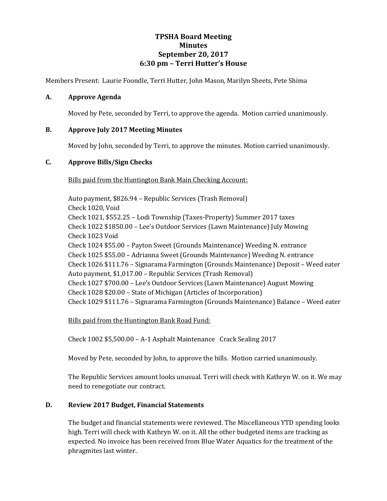## **TPSHA Board Meeting Minutes September 20, 2017 6:30 pm – Terri Hutter's House**

Members Present: Laurie Foondle, Terri Hutter, John Mason, Marilyn Sheets, Pete Shima

#### **A. Approve Agenda**

Moved by Pete, seconded by Terri, to approve the agenda. Motion carried unanimously.

#### **B. Approve July 2017 Meeting Minutes**

Moved by John, seconded by Terri, to approve the minutes. Motion carried unanimously.

#### **C. Approve Bills/Sign Checks**

Bills paid from the Huntington Bank Main Checking Account:

Auto payment, \$826.94 – Republic Services (Trash Removal) Check 1020, Void Check 1021, \$552.25 – Lodi Township (Taxes-Property) Summer 2017 taxes Check 1022 \$1850.00 – Lee's Outdoor Services (Lawn Maintenance) July Mowing Check 1023 Void Check 1024 \$55.00 – Payton Sweet (Grounds Maintenance) Weeding N. entrance Check 1025 \$55.00 – Adrianna Sweet (Grounds Maintenance) Weeding N. entrance Check 1026 \$111.76 – Signarama Farmington (Grounds Maintenance) Deposit – Weed eater Auto payment, \$1,017.00 – Republic Services (Trash Removal) Check 1027 \$700.00 – Lee's Outdoor Services (Lawn Maintenance) August Mowing Check 1028 \$20.00 – State of Michigan (Articles of Incorporation) Check 1029 \$111.76 – Signarama Farmington (Grounds Maintenance) Balance – Weed eater

Bills paid from the Huntington Bank Road Fund:

Check 1002 \$5,500.00 – A-1 Asphalt Maintenance Crack Sealing 2017

Moved by Pete, seconded by John, to approve the bills. Motion carried unanimously.

The Republic Services amount looks unusual. Terri will check with Kathryn W. on it. We may need to renegotiate our contract.

## **D. Review 2017 Budget, Financial Statements**

The budget and financial statements were reviewed. The Miscellaneous YTD spending looks high. Terri will check with Kathryn W. on it. All the other budgeted items are tracking as expected. No invoice has been received from Blue Water Aquatics for the treatment of the phragmites last winter.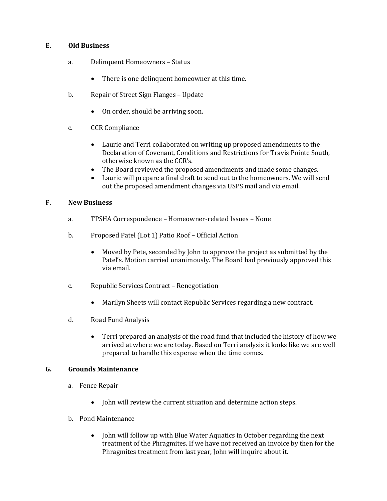## **E. Old Business**

- a. Delinquent Homeowners Status
	- There is one delinguent homeowner at this time.
- b. Repair of Street Sign Flanges Update
	- On order, should be arriving soon.
- c. CCR Compliance
	- Laurie and Terri collaborated on writing up proposed amendments to the Declaration of Covenant, Conditions and Restrictions for Travis Pointe South, otherwise known as the CCR's.
	- The Board reviewed the proposed amendments and made some changes.
	- Laurie will prepare a final draft to send out to the homeowners. We will send out the proposed amendment changes via USPS mail and via email.

#### **F. New Business**

- a. TPSHA Correspondence Homeowner-related Issues None
- b. Proposed Patel (Lot 1) Patio Roof Official Action
	- Moved by Pete, seconded by John to approve the project as submitted by the Patel's. Motion carried unanimously. The Board had previously approved this via email.
- c. Republic Services Contract Renegotiation
	- Marilyn Sheets will contact Republic Services regarding a new contract.
- d. Road Fund Analysis
	- Terri prepared an analysis of the road fund that included the history of how we arrived at where we are today. Based on Terri analysis it looks like we are well prepared to handle this expense when the time comes.

#### **G. Grounds Maintenance**

- a. Fence Repair
	- John will review the current situation and determine action steps.
- b. Pond Maintenance
	- John will follow up with Blue Water Aquatics in October regarding the next treatment of the Phragmites. If we have not received an invoice by then for the Phragmites treatment from last year, John will inquire about it.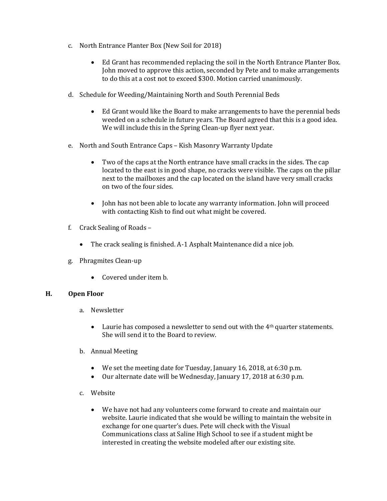- c. North Entrance Planter Box (New Soil for 2018)
	- Ed Grant has recommended replacing the soil in the North Entrance Planter Box. John moved to approve this action, seconded by Pete and to make arrangements to do this at a cost not to exceed \$300. Motion carried unanimously.
- d. Schedule for Weeding/Maintaining North and South Perennial Beds
	- Ed Grant would like the Board to make arrangements to have the perennial beds weeded on a schedule in future years. The Board agreed that this is a good idea. We will include this in the Spring Clean-up flyer next year.
- e. North and South Entrance Caps Kish Masonry Warranty Update
	- Two of the caps at the North entrance have small cracks in the sides. The cap located to the east is in good shape, no cracks were visible. The caps on the pillar next to the mailboxes and the cap located on the island have very small cracks on two of the four sides.
	- John has not been able to locate any warranty information. John will proceed with contacting Kish to find out what might be covered.
- f. Crack Sealing of Roads
	- The crack sealing is finished. A-1 Asphalt Maintenance did a nice job.
- g. Phragmites Clean-up
	- Covered under item b.

## **H. Open Floor**

- a. Newsletter
	- $\bullet$  Laurie has composed a newsletter to send out with the 4<sup>th</sup> quarter statements. She will send it to the Board to review.
- b. Annual Meeting
	- We set the meeting date for Tuesday, January 16, 2018, at 6:30 p.m.
	- Our alternate date will be Wednesday, January 17, 2018 at 6:30 p.m.
- c. Website
	- We have not had any volunteers come forward to create and maintain our website. Laurie indicated that she would be willing to maintain the website in exchange for one quarter's dues. Pete will check with the Visual Communications class at Saline High School to see if a student might be interested in creating the website modeled after our existing site.